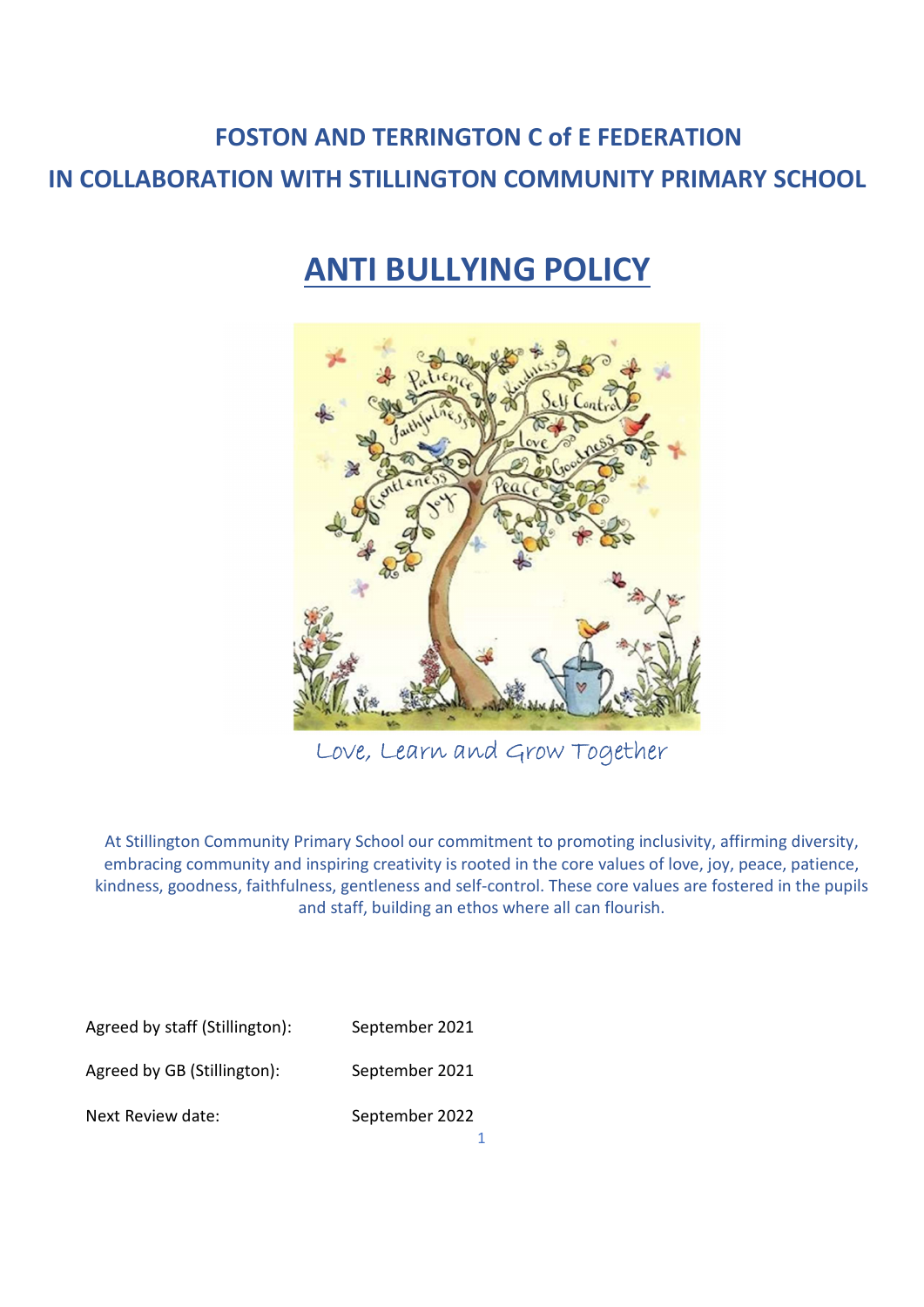# FOSTON AND TERRINGTON C of E FEDERATION IN COLLABORATION WITH STILLINGTON COMMUNITY PRIMARY SCHOOL

# ANTI BULLYING POLICY



Love, Learn and Grow Together

At Stillington Community Primary School our commitment to promoting inclusivity, affirming diversity, embracing community and inspiring creativity is rooted in the core values of love, joy, peace, patience, kindness, goodness, faithfulness, gentleness and self-control. These core values are fostered in the pupils and staff, building an ethos where all can flourish.

Agreed by staff (Stillington): September 2021

Agreed by GB (Stillington): September 2021 Next Review date: September 2022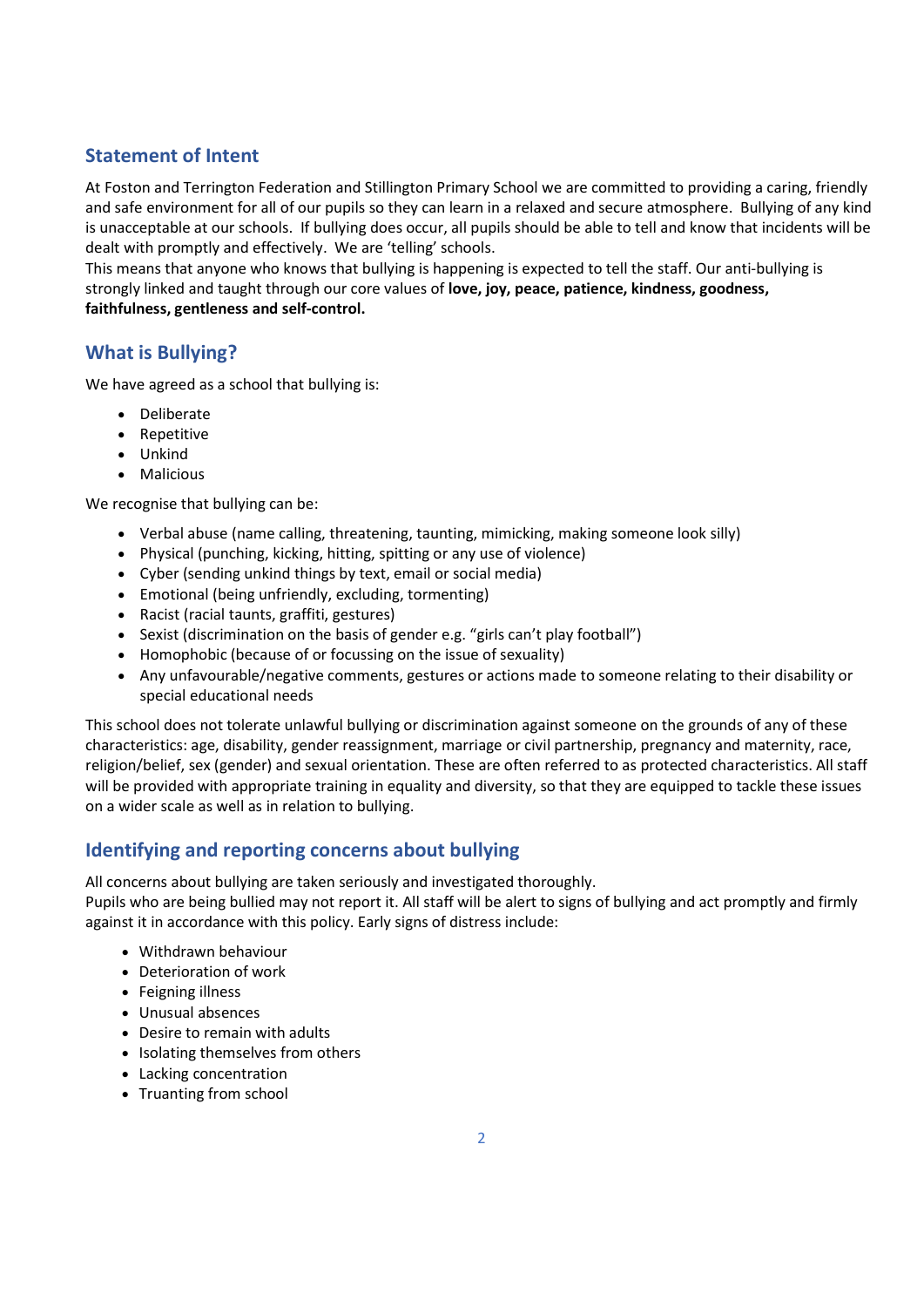# Statement of Intent

At Foston and Terrington Federation and Stillington Primary School we are committed to providing a caring, friendly and safe environment for all of our pupils so they can learn in a relaxed and secure atmosphere. Bullying of any kind is unacceptable at our schools. If bullying does occur, all pupils should be able to tell and know that incidents will be dealt with promptly and effectively. We are 'telling' schools.

This means that anyone who knows that bullying is happening is expected to tell the staff. Our anti-bullying is strongly linked and taught through our core values of love, joy, peace, patience, kindness, goodness, faithfulness, gentleness and self-control.

#### What is Bullying?

We have agreed as a school that bullying is:

- Deliberate
- Repetitive
- Unkind
- Malicious

We recognise that bullying can be:

- Verbal abuse (name calling, threatening, taunting, mimicking, making someone look silly)
- Physical (punching, kicking, hitting, spitting or any use of violence)
- Cyber (sending unkind things by text, email or social media)
- Emotional (being unfriendly, excluding, tormenting)
- Racist (racial taunts, graffiti, gestures)
- Sexist (discrimination on the basis of gender e.g. "girls can't play football")
- Homophobic (because of or focussing on the issue of sexuality)
- Any unfavourable/negative comments, gestures or actions made to someone relating to their disability or special educational needs

This school does not tolerate unlawful bullying or discrimination against someone on the grounds of any of these characteristics: age, disability, gender reassignment, marriage or civil partnership, pregnancy and maternity, race, religion/belief, sex (gender) and sexual orientation. These are often referred to as protected characteristics. All staff will be provided with appropriate training in equality and diversity, so that they are equipped to tackle these issues on a wider scale as well as in relation to bullying.

# Identifying and reporting concerns about bullying

All concerns about bullying are taken seriously and investigated thoroughly.

Pupils who are being bullied may not report it. All staff will be alert to signs of bullying and act promptly and firmly against it in accordance with this policy. Early signs of distress include:

- Withdrawn behaviour
- Deterioration of work
- Feigning illness
- Unusual absences
- Desire to remain with adults
- Isolating themselves from others
- Lacking concentration
- Truanting from school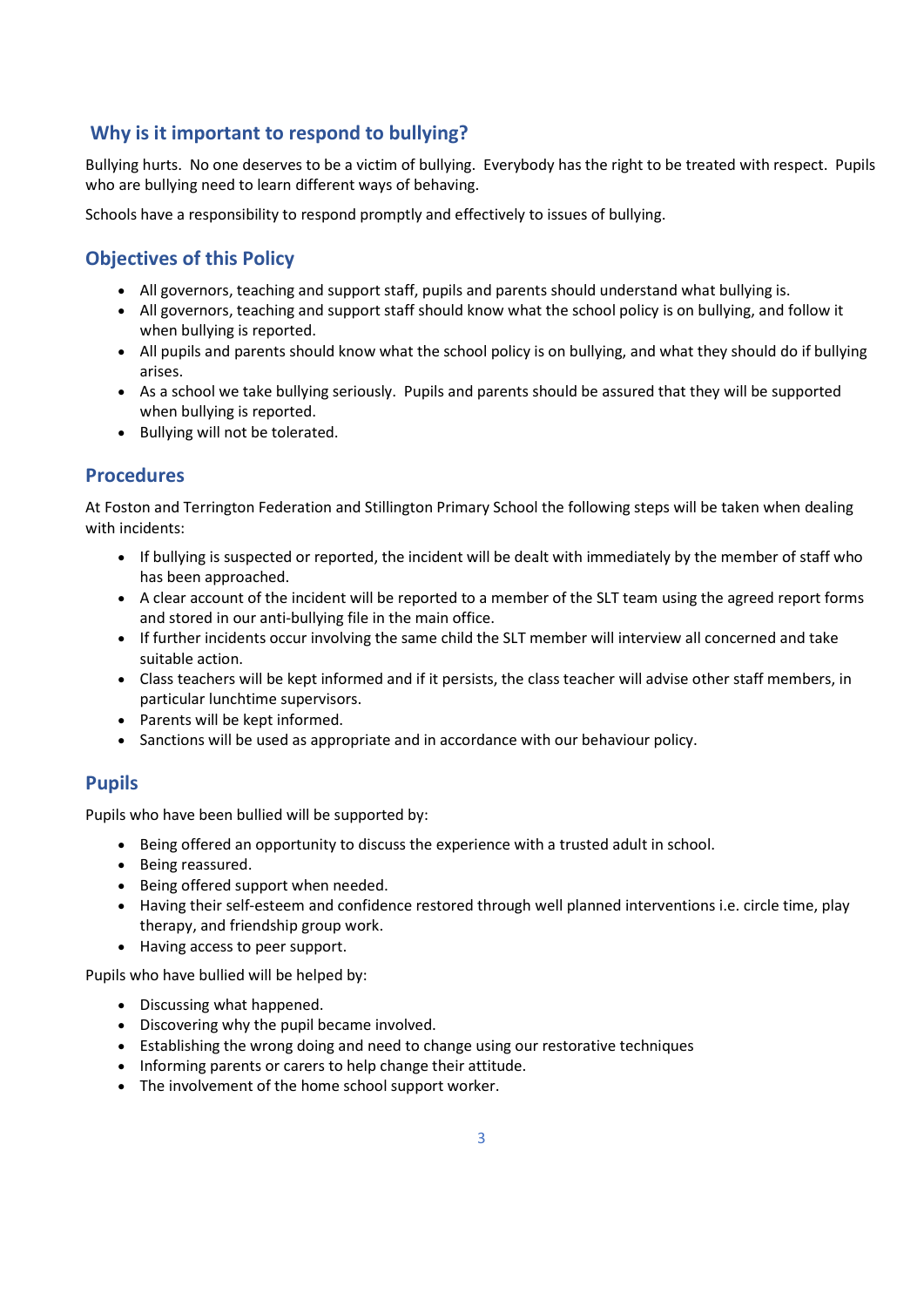# Why is it important to respond to bullying?

Bullying hurts. No one deserves to be a victim of bullying. Everybody has the right to be treated with respect. Pupils who are bullying need to learn different ways of behaving.

Schools have a responsibility to respond promptly and effectively to issues of bullying.

## Objectives of this Policy

- All governors, teaching and support staff, pupils and parents should understand what bullying is.
- All governors, teaching and support staff should know what the school policy is on bullying, and follow it when bullying is reported.
- All pupils and parents should know what the school policy is on bullying, and what they should do if bullying arises.
- As a school we take bullying seriously. Pupils and parents should be assured that they will be supported when bullying is reported.
- Bullying will not be tolerated.

#### Procedures

At Foston and Terrington Federation and Stillington Primary School the following steps will be taken when dealing with incidents:

- If bullying is suspected or reported, the incident will be dealt with immediately by the member of staff who has been approached.
- A clear account of the incident will be reported to a member of the SLT team using the agreed report forms and stored in our anti-bullying file in the main office.
- If further incidents occur involving the same child the SLT member will interview all concerned and take suitable action.
- Class teachers will be kept informed and if it persists, the class teacher will advise other staff members, in particular lunchtime supervisors.
- Parents will be kept informed.
- Sanctions will be used as appropriate and in accordance with our behaviour policy.

#### Pupils

Pupils who have been bullied will be supported by:

- Being offered an opportunity to discuss the experience with a trusted adult in school.
- Being reassured.
- Being offered support when needed.
- Having their self-esteem and confidence restored through well planned interventions i.e. circle time, play therapy, and friendship group work.
- Having access to peer support.

Pupils who have bullied will be helped by:

- Discussing what happened.
- Discovering why the pupil became involved.
- Establishing the wrong doing and need to change using our restorative techniques
- Informing parents or carers to help change their attitude.
- The involvement of the home school support worker.